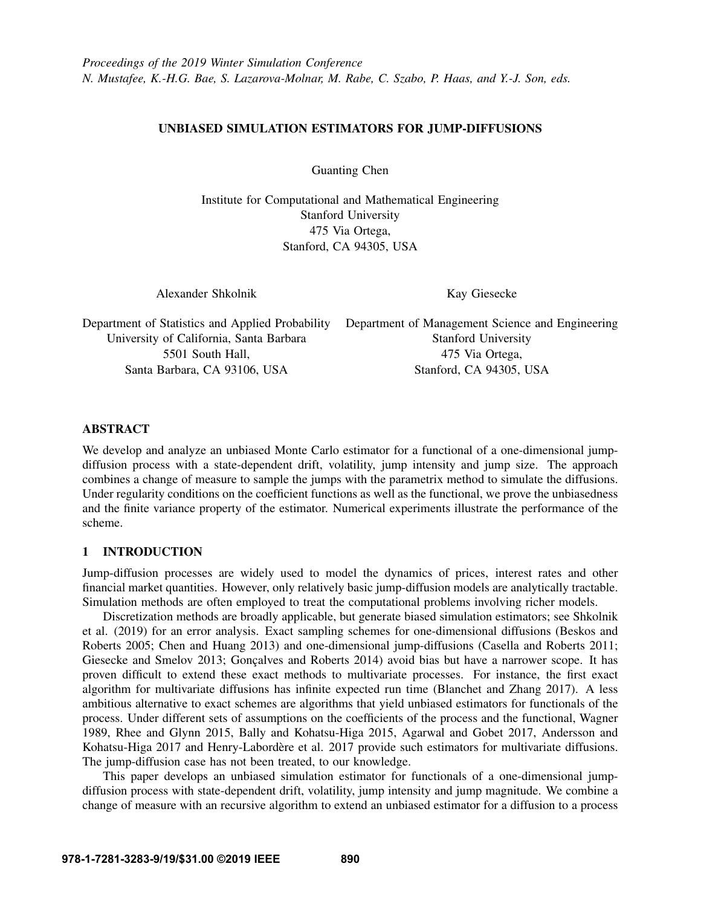# UNBIASED SIMULATION ESTIMATORS FOR JUMP-DIFFUSIONS

Guanting Chen

Institute for Computational and Mathematical Engineering Stanford University 475 Via Ortega, Stanford, CA 94305, USA

Alexander Shkolnik

Kay Giesecke

Department of Statistics and Applied Probability University of California, Santa Barbara 5501 South Hall, Santa Barbara, CA 93106, USA

Department of Management Science and Engineering Stanford University 475 Via Ortega, Stanford, CA 94305, USA

# ABSTRACT

We develop and analyze an unbiased Monte Carlo estimator for a functional of a one-dimensional jumpdiffusion process with a state-dependent drift, volatility, jump intensity and jump size. The approach combines a change of measure to sample the jumps with the parametrix method to simulate the diffusions. Under regularity conditions on the coefficient functions as well as the functional, we prove the unbiasedness and the finite variance property of the estimator. Numerical experiments illustrate the performance of the scheme.

# 1 INTRODUCTION

Jump-diffusion processes are widely used to model the dynamics of prices, interest rates and other financial market quantities. However, only relatively basic jump-diffusion models are analytically tractable. Simulation methods are often employed to treat the computational problems involving richer models.

Discretization methods are broadly applicable, but generate biased simulation estimators; see [Shkolnik](#page-11-0) [et al. \(2019\)](#page-11-0) for an error analysis. Exact sampling schemes for one-dimensional diffusions [\(Beskos and](#page-10-0) [Roberts 2005;](#page-10-0) [Chen and Huang 2013\)](#page-11-1) and one-dimensional jump-diffusions [\(Casella and Roberts 2011;](#page-11-2) [Giesecke and Smelov 2013;](#page-11-3) Gonçalves and Roberts 2014) avoid bias but have a narrower scope. It has proven difficult to extend these exact methods to multivariate processes. For instance, the first exact algorithm for multivariate diffusions has infinite expected run time [\(Blanchet and Zhang 2017\)](#page-10-1). A less ambitious alternative to exact schemes are algorithms that yield unbiased estimators for functionals of the process. Under different sets of assumptions on the coefficients of the process and the functional, [Wagner](#page-11-5) [1989,](#page-11-5) [Rhee and Glynn 2015,](#page-11-6) [Bally and Kohatsu-Higa 2015,](#page-10-2) [Agarwal and Gobet 2017,](#page-10-3) [Andersson and](#page-10-4) [Kohatsu-Higa 2017](#page-10-4) and Henry-Labordère et al. 2017 provide such estimators for multivariate diffusions. The jump-diffusion case has not been treated, to our knowledge.

This paper develops an unbiased simulation estimator for functionals of a one-dimensional jumpdiffusion process with state-dependent drift, volatility, jump intensity and jump magnitude. We combine a change of measure with an recursive algorithm to extend an unbiased estimator for a diffusion to a process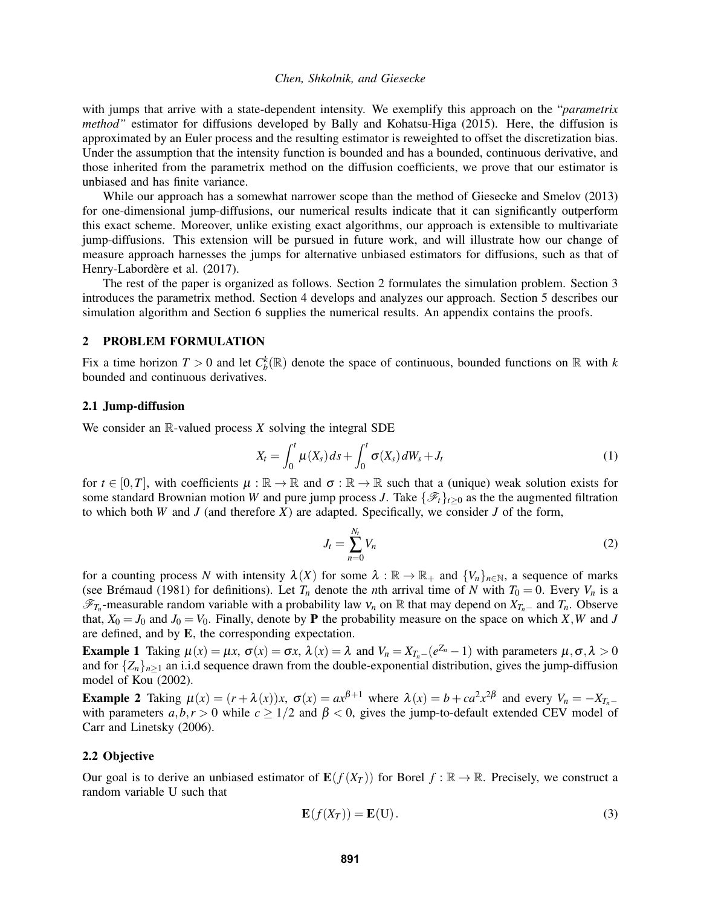with jumps that arrive with a state-dependent intensity. We exemplify this approach on the "*parametrix method"* estimator for diffusions developed by [Bally and Kohatsu-Higa \(2015\).](#page-10-2) Here, the diffusion is approximated by an Euler process and the resulting estimator is reweighted to offset the discretization bias. Under the assumption that the intensity function is bounded and has a bounded, continuous derivative, and those inherited from the parametrix method on the diffusion coefficients, we prove that our estimator is unbiased and has finite variance.

While our approach has a somewhat narrower scope than the method of [Giesecke and Smelov \(2013\)](#page-11-3) for one-dimensional jump-diffusions, our numerical results indicate that it can significantly outperform this exact scheme. Moreover, unlike existing exact algorithms, our approach is extensible to multivariate jump-diffusions. This extension will be pursued in future work, and will illustrate how our change of measure approach harnesses the jumps for alternative unbiased estimators for diffusions, such as that of Henry-Labordère et al. (2017).

The rest of the paper is organized as follows. Section [2](#page-1-0) formulates the simulation problem. Section [3](#page-2-0) introduces the parametrix method. Section [4](#page-3-0) develops and analyzes our approach. Section [5](#page-6-0) describes our simulation algorithm and Section [6](#page-6-1) supplies the numerical results. An appendix contains the proofs.

### <span id="page-1-0"></span>2 PROBLEM FORMULATION

Fix a time horizon  $T > 0$  and let  $C_b^k(\mathbb{R})$  denote the space of continuous, bounded functions on  $\mathbb R$  with *k* bounded and continuous derivatives.

#### 2.1 Jump-diffusion

We consider an R-valued process *X* solving the integral SDE

$$
X_t = \int_0^t \mu(X_s) ds + \int_0^t \sigma(X_s) dW_s + J_t \tag{1}
$$

for  $t \in [0,T]$ , with coefficients  $\mu : \mathbb{R} \to \mathbb{R}$  and  $\sigma : \mathbb{R} \to \mathbb{R}$  such that a (unique) weak solution exists for some standard Brownian motion *W* and pure jump process *J*. Take  $\{\mathcal{F}_t\}_{t>0}$  as the the augmented filtration to which both *W* and *J* (and therefore *X*) are adapted. Specifically, we consider *J* of the form,

<span id="page-1-3"></span><span id="page-1-1"></span>
$$
J_t = \sum_{n=0}^{N_t} V_n \tag{2}
$$

for a counting process *N* with intensity  $\lambda(X)$  for some  $\lambda : \mathbb{R} \to \mathbb{R}_+$  and  $\{V_n\}_{n \in \mathbb{N}}$ , a sequence of marks (see Brémaud (1981) for definitions). Let  $T_n$  denote the *n*th arrival time of *N* with  $T_0 = 0$ . Every  $V_n$  is a  $\mathscr{F}_{T_n}$ -measurable random variable with a probability law  $v_n$  on R that may depend on  $X_{T_n}$  and  $T_n$ . Observe that,  $X_0 = J_0$  and  $J_0 = V_0$ . Finally, denote by **P** the probability measure on the space on which *X*, *W* and *J* are defined, and by E, the corresponding expectation.

Example 1 Taking  $\mu(x) = \mu x$ ,  $\sigma(x) = \sigma x$ ,  $\lambda(x) = \lambda$  and  $V_n = X_{T_n-1}(e^{Z_n} - 1)$  with parameters  $\mu, \sigma, \lambda > 0$ and for  $\{Z_n\}_{n\geq 1}$  an i.i.d sequence drawn from the double-exponential distribution, gives the jump-diffusion model of [Kou \(2002\).](#page-11-8)

Example 2 Taking  $\mu(x) = (r + \lambda(x))x$ ,  $\sigma(x) = ax^{\beta+1}$  where  $\lambda(x) = b + ca^2x^{2\beta}$  and every  $V_n = -X_{T_n}$ with parameters  $a, b, r > 0$  while  $c \geq 1/2$  and  $\beta < 0$ , gives the jump-to-default extended CEV model of [Carr and Linetsky \(2006\).](#page-10-6)

### 2.2 Objective

Our goal is to derive an unbiased estimator of  $E(f(X_T))$  for Borel  $f : \mathbb{R} \to \mathbb{R}$ . Precisely, we construct a random variable U such that

<span id="page-1-2"></span>
$$
\mathbf{E}(f(X_T)) = \mathbf{E}(U). \tag{3}
$$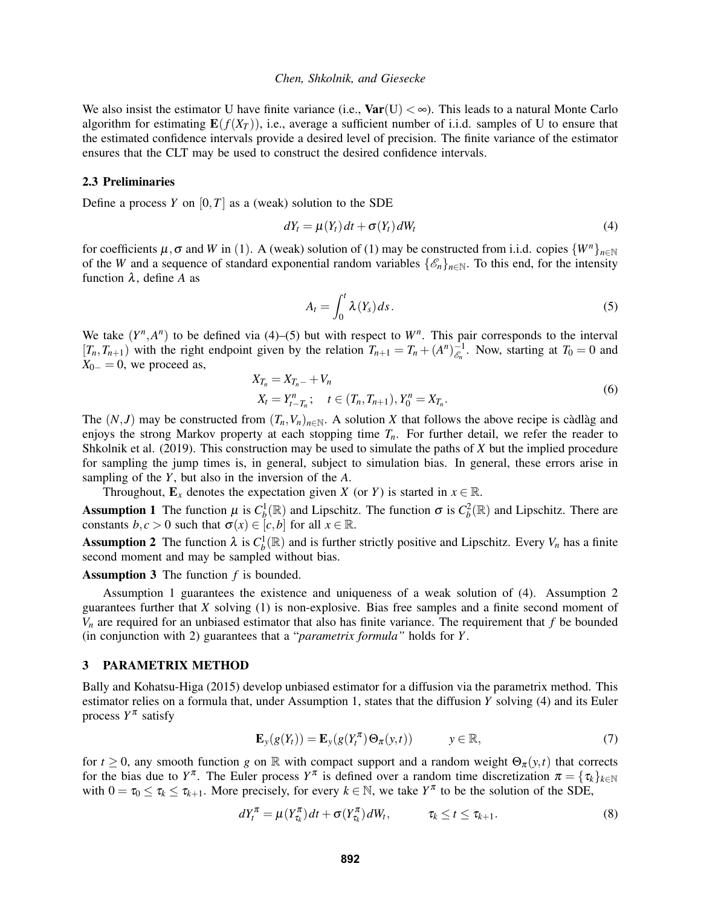We also insist the estimator U have finite variance (i.e.,  $Var(U) < \infty$ ). This leads to a natural Monte Carlo algorithm for estimating  $E(f(X_T))$ , i.e., average a sufficient number of i.i.d. samples of U to ensure that the estimated confidence intervals provide a desired level of precision. The finite variance of the estimator ensures that the CLT may be used to construct the desired confidence intervals.

#### 2.3 Preliminaries

Define a process *Y* on  $[0, T]$  as a (weak) solution to the SDE

$$
dY_t = \mu(Y_t) dt + \sigma(Y_t) dW_t
$$
\n(4)

for coefficients  $\mu$ ,  $\sigma$  and *W* in ([1](#page-1-1)). A (weak) solution of [\(1\)](#page-1-1) may be constructed from i.i.d. copies  $\{W^n\}_{n\in\mathbb{N}}$ of the *W* and a sequence of standard exponential random variables  $\{\mathscr{E}_n\}_{n\in\mathbb{N}}$ . To this end, for the intensity function  $\lambda$ , define A as

<span id="page-2-2"></span><span id="page-2-1"></span>
$$
A_t = \int_0^t \lambda(Y_s) \, ds. \tag{5}
$$

We take  $(Y^n, A^n)$  to be defined via [\(4\)](#page-2-1)–[\(5\)](#page-2-2) but with respect to  $W^n$ . This pair corresponds to the interval  $[T_n, T_{n+1})$  with the right endpoint given by the relation  $T_{n+1} = T_n + (A^n)_{\varepsilon_n}^{-1}$  $\epsilon_n^{-1}$ . Now, starting at  $T_0 = 0$  and  $X_{0-} = 0$ , we proceed as,

$$
X_{T_n} = X_{T_n-} + V_n
$$
  
\n
$$
X_t = Y_{t-T_n}^n; \quad t \in (T_n, T_{n+1}), Y_0^n = X_{T_n}.
$$
\n(6)

The  $(N, J)$  may be constructed from  $(T_n, V_n)_{n \in \mathbb{N}}$ . A solution *X* that follows the above recipe is càdlàg and enjoys the strong Markov property at each stopping time  $T<sub>n</sub>$ . For further detail, we refer the reader to [Shkolnik et al. \(2019\).](#page-11-0) This construction may be used to simulate the paths of *X* but the implied procedure for sampling the jump times is, in general, subject to simulation bias. In general, these errors arise in sampling of the *Y*, but also in the inversion of the *A*.

Throughout,  $\mathbf{E}_x$  denotes the expectation given *X* (or *Y*) is started in  $x \in \mathbb{R}$ .

<span id="page-2-3"></span>Assumption 1 The function  $\mu$  is  $C_b^1(\mathbb{R})$  and Lipschitz. The function  $\sigma$  is  $C_b^2(\mathbb{R})$  and Lipschitz. There are constants *b*, *c* > 0 such that  $\sigma(x) \in [c, b]$  for all  $x \in \mathbb{R}$ .

<span id="page-2-4"></span>Assumption 2 The function  $\lambda$  is  $C_b^1(\mathbb{R})$  and is further strictly positive and Lipschitz. Every  $V_n$  has a finite second moment and may be sampled without bias.

# <span id="page-2-7"></span>Assumption 3 The function *f* is bounded.

Assumption [1](#page-2-3) guarantees the existence and uniqueness of a weak solution of [\(4\)](#page-2-1). Assumption [2](#page-2-4) guarantees further that *X* solving [\(1\)](#page-1-1) is non-explosive. Bias free samples and a finite second moment of  $V<sub>n</sub>$  are required for an unbiased estimator that also has finite variance. The requirement that  $f$  be bounded (in conjunction with [2\)](#page-2-4) guarantees that a "*parametrix formula"* holds for *Y*.

### <span id="page-2-0"></span>3 PARAMETRIX METHOD

[Bally and Kohatsu-Higa \(2015\)](#page-10-2) develop unbiased estimator for a diffusion via the parametrix method. This estimator relies on a formula that, under Assumption [1,](#page-2-3) states that the diffusion *Y* solving [\(4\)](#page-2-1) and its Euler process *Y* π satisfy

<span id="page-2-6"></span><span id="page-2-5"></span>
$$
\mathbf{E}_y(g(Y_t)) = \mathbf{E}_y(g(Y_t^{\pi}) \Theta_{\pi}(y, t)) \qquad y \in \mathbb{R}, \tag{7}
$$

for  $t \geq 0$ , any smooth function *g* on R with compact support and a random weight  $\Theta_{\pi}(y,t)$  that corrects for the bias due to  $Y^{\pi}$ . The Euler process  $Y^{\pi}$  is defined over a random time discretization  $\pi = {\{\tau_k\}}_{k \in \mathbb{N}}$ with  $0 = \tau_0 \leq \tau_k \leq \tau_{k+1}$ . More precisely, for every  $k \in \mathbb{N}$ , we take  $Y^{\pi}$  to be the solution of the SDE,

$$
dY_t^{\pi} = \mu(Y_{\tau_k}^{\pi})dt + \sigma(Y_{\tau_k}^{\pi})dW_t, \qquad \tau_k \leq t \leq \tau_{k+1}.
$$
 (8)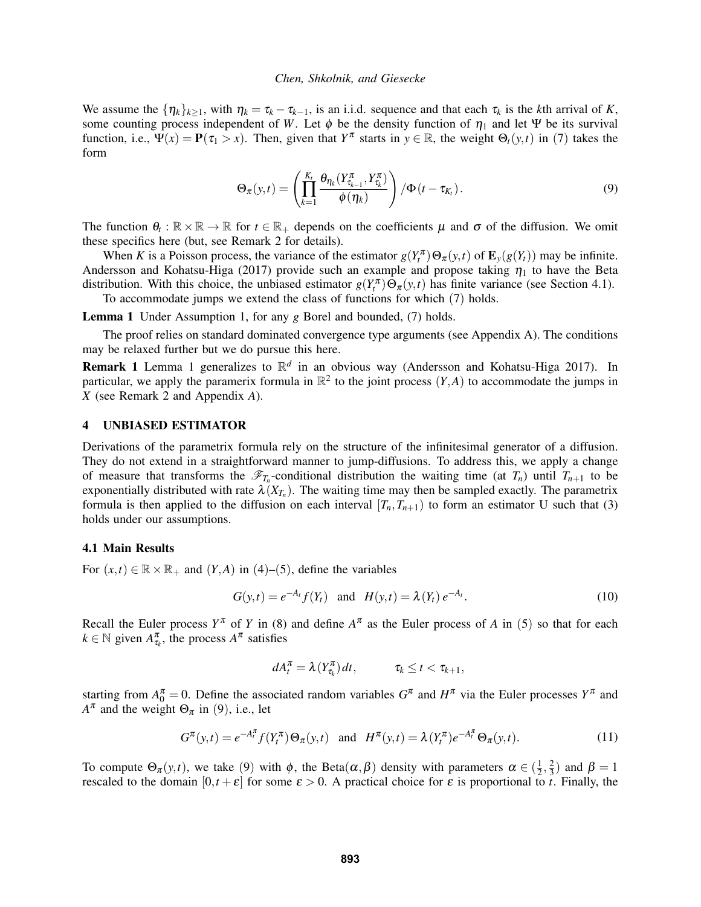We assume the  $\{\eta_k\}_{k>1}$ , with  $\eta_k = \tau_k - \tau_{k-1}$ , is an i.i.d. sequence and that each  $\tau_k$  is the *k*th arrival of *K*, some counting process independent of *W*. Let  $\phi$  be the density function of  $\eta_1$  and let Ψ be its survival function, i.e.,  $\Psi(x) = \mathbf{P}(\tau_1 > x)$ . Then, given that  $Y^{\pi}$  starts in  $y \in \mathbb{R}$ , the weight  $\Theta_t(y,t)$  in ([7](#page-2-5)) takes the form

<span id="page-3-3"></span>
$$
\Theta_{\pi}(y,t) = \left(\prod_{k=1}^{K_t} \frac{\theta_{\eta_k}(Y_{\tau_{k-1}}^{\pi}, Y_{\tau_k}^{\pi})}{\phi(\eta_k)}\right) / \Phi(t - \tau_{K_t}).
$$
\n(9)

The function  $\theta_t : \mathbb{R} \times \mathbb{R} \to \mathbb{R}$  for  $t \in \mathbb{R}_+$  depends on the coefficients  $\mu$  and  $\sigma$  of the diffusion. We omit these specifics here (but, see Remark [2](#page-4-0) for details).

When *K* is a Poisson process, the variance of the estimator  $g(Y_t^{\pi}) \Theta_{\pi}(y,t)$  of  $\mathbf{E}_y(g(Y_t))$  may be infinite. [Andersson and Kohatsu-Higa \(2017\)](#page-10-4) provide such an example and propose taking  $\eta_1$  to have the Beta distribution. With this choice, the unbiased estimator  $g(Y_t^{\pi}) \Theta_{\pi}(y,t)$  has finite variance (see Section [4.1\)](#page-3-1). To accommodate jumps we extend the class of functions for which ([7](#page-2-5)) holds.

<span id="page-3-2"></span>Lemma 1 Under Assumption [1,](#page-2-3) for any *g* Borel and bounded, [\(7\)](#page-2-5) holds.

The proof relies on standard dominated convergence type arguments (see Appendix [A\)](#page-8-0). The conditions may be relaxed further but we do pursue this here.

Remark 1 Lemma [1](#page-3-2) generalizes to R *d* in an obvious way [\(Andersson and Kohatsu-Higa 2017\)](#page-10-4). In particular, we apply the paramerix formula in  $\mathbb{R}^2$  to the joint process  $(Y, A)$  to accommodate the jumps in *X* (see Remark [2](#page-4-0) and Appendix *[A](#page-8-0)*).

### <span id="page-3-0"></span>4 UNBIASED ESTIMATOR

Derivations of the parametrix formula rely on the structure of the infinitesimal generator of a diffusion. They do not extend in a straightforward manner to jump-diffusions. To address this, we apply a change of measure that transforms the  $\mathscr{F}_{T_n}$ -conditional distribution the waiting time (at  $T_n$ ) until  $T_{n+1}$  to be exponentially distributed with rate  $\lambda(X_{T_n})$ . The waiting time may then be sampled exactly. The parametrix formula is then applied to the diffusion on each interval  $[T_n, T_{n+1}]$  to form an estimator U such that [\(3\)](#page-1-2) holds under our assumptions.

#### <span id="page-3-1"></span>4.1 Main Results

For  $(x,t) \in \mathbb{R} \times \mathbb{R}_+$  and  $(Y,A)$  in  $(4)$  $(4)$  $(4)$ – $(5)$  $(5)$  $(5)$ , define the variables

<span id="page-3-5"></span>
$$
G(y,t) = e^{-A_t} f(Y_t) \text{ and } H(y,t) = \lambda(Y_t) e^{-A_t}.
$$
 (10)

Recall the Euler process  $Y^{\pi}$  of *Y* in [\(8\)](#page-2-6) and define  $A^{\pi}$  as the Euler process of *A* in ([5](#page-2-2)) so that for each  $k \in \mathbb{N}$  given  $A_{\tau_k}^{\pi}$ , the process  $A^{\pi}$  satisfies

$$
dA_t^{\pi} = \lambda(Y_{\tau_k}^{\pi})dt, \qquad \tau_k \leq t < \tau_{k+1},
$$

starting from  $A_0^{\pi} = 0$ . Define the associated random variables  $G^{\pi}$  and  $H^{\pi}$  via the Euler processes  $Y^{\pi}$  and  $A^{\pi}$  and the weight  $\Theta_{\pi}$  in ([9](#page-3-3)), i.e., let

<span id="page-3-4"></span>
$$
G^{\pi}(y,t) = e^{-A_t^{\pi}} f(Y_t^{\pi}) \Theta_{\pi}(y,t) \text{ and } H^{\pi}(y,t) = \lambda (Y_t^{\pi}) e^{-A_t^{\pi}} \Theta_{\pi}(y,t).
$$
 (11)

To compute  $\Theta_{\pi}(y,t)$ , we take ([9](#page-3-3)) with  $\phi$ , the Beta $(\alpha, \beta)$  density with parameters  $\alpha \in (\frac{1}{2})$  $\frac{1}{2}, \frac{2}{3}$  $\frac{2}{3}$ ) and  $\beta = 1$ rescaled to the domain  $[0,t+\varepsilon]$  for some  $\varepsilon > 0$ . A practical choice for  $\varepsilon$  is proportional to *t*. Finally, the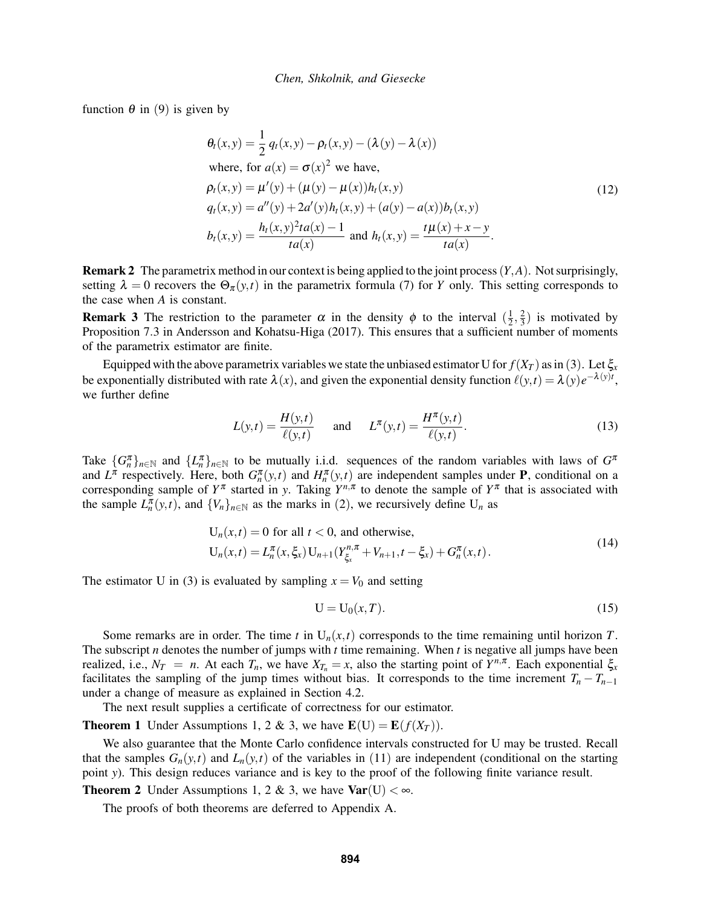function  $\theta$  in ([9](#page-3-3)) is given by

<span id="page-4-6"></span>
$$
\theta_t(x, y) = \frac{1}{2} q_t(x, y) - \rho_t(x, y) - (\lambda(y) - \lambda(x))
$$
  
where, for  $a(x) = \sigma(x)^2$  we have,  

$$
\rho_t(x, y) = \mu'(y) + (\mu(y) - \mu(x))h_t(x, y)
$$

$$
q_t(x, y) = a''(y) + 2a'(y)h_t(x, y) + (a(y) - a(x))b_t(x, y)
$$

$$
b_t(x, y) = \frac{h_t(x, y)^2 t a(x) - 1}{t a(x)} \text{ and } h_t(x, y) = \frac{t \mu(x) + x - y}{t a(x)}.
$$
 (12)

<span id="page-4-0"></span>Remark 2 The parametrix method in our context is being applied to the joint process(*Y*,*A*). Not surprisingly, setting  $\lambda = 0$  recovers the  $\Theta_{\pi}(y,t)$  in the parametrix formula [\(7\)](#page-2-5) for *Y* only. This setting corresponds to the case when *A* is constant.

<span id="page-4-7"></span>**Remark 3** The restriction to the parameter  $\alpha$  in the density  $\phi$  to the interval  $(\frac{1}{2})$  $\frac{1}{2}, \frac{2}{3}$  $(\frac{2}{3})$  is motivated by Proposition 7.3 in [Andersson and Kohatsu-Higa \(2017\).](#page-10-4) This ensures that a sufficient number of moments of the parametrix estimator are finite.

Equipped with the above parametrix variables we state the unbiased estimator U for  $f(X_T)$  as in ([3](#page-1-2)). Let  $\xi_x$ be exponentially distributed with rate  $\lambda(x)$ , and given the exponential density function  $\ell(y,t) = \lambda(y)e^{-\lambda(y)t}$ , we further define

$$
L(y,t) = \frac{H(y,t)}{\ell(y,t)} \quad \text{and} \quad L^{\pi}(y,t) = \frac{H^{\pi}(y,t)}{\ell(y,t)}.
$$
 (13)

Take  ${G_n^{\pi}}_{n \in \mathbb{N}}$  and  ${L_n^{\pi}}_{n \in \mathbb{N}}$  to be mutually i.i.d. sequences of the random variables with laws of  $G^{\pi}$ and  $L^{\pi}$  respectively. Here, both  $G_n^{\pi}(y,t)$  and  $H_n^{\pi}(y,t)$  are independent samples under **P**, conditional on a corresponding sample of  $Y^{\pi}$  started in *y*. Taking  $Y^{n,\pi}$  to denote the sample of  $Y^{\pi}$  that is associated with the sample  $L_n^{\pi}(y,t)$ , and  $\{V_n\}_{n\in\mathbb{N}}$  as the marks in ([2](#page-1-3)), we recursively define  $U_n$  as

<span id="page-4-1"></span>
$$
U_n(x,t) = 0 \text{ for all } t < 0, \text{ and otherwise,}
$$
  
\n
$$
U_n(x,t) = L_n^{\pi}(x,\xi_x) U_{n+1}(Y_{\xi_x}^{n,\pi} + V_{n+1}, t - \xi_x) + G_n^{\pi}(x,t).
$$
\n(14)

The estimator U in [\(3\)](#page-1-2) is evaluated by sampling  $x = V_0$  and setting

<span id="page-4-3"></span><span id="page-4-2"></span>
$$
U = U_0(x, T). \tag{15}
$$

Some remarks are in order. The time *t* in  $U_n(x,t)$  corresponds to the time remaining until horizon *T*. The subscript *n* denotes the number of jumps with *t* time remaining. When *t* is negative all jumps have been realized, i.e.,  $N_T = n$ . At each  $T_n$ , we have  $X_{T_n} = x$ , also the starting point of  $Y^{n,\pi}$ . Each exponential  $\xi_x$ facilitates the sampling of the jump times without bias. It corresponds to the time increment  $T_n - T_{n-1}$ under a change of measure as explained in Section [4.2.](#page-5-0)

The next result supplies a certificate of correctness for our estimator.

<span id="page-4-4"></span>**Theorem 1** Under Assumptions [1,](#page-2-3) [2](#page-2-4) & [3,](#page-2-7) we have  $E(U) = E(f(X_T))$ .

We also guarantee that the Monte Carlo confidence intervals constructed for U may be trusted. Recall that the samples  $G_n(y,t)$  and  $L_n(y,t)$  of the variables in ([11](#page-3-4)) are independent (conditional on the starting point *y*). This design reduces variance and is key to the proof of the following finite variance result.

<span id="page-4-5"></span>**Theorem [2](#page-2-4)** Under Assumptions [1,](#page-2-3) 2 & [3,](#page-2-7) we have  $Var(U) < \infty$ .

The proofs of both theorems are deferred to Appendix [A.](#page-8-0)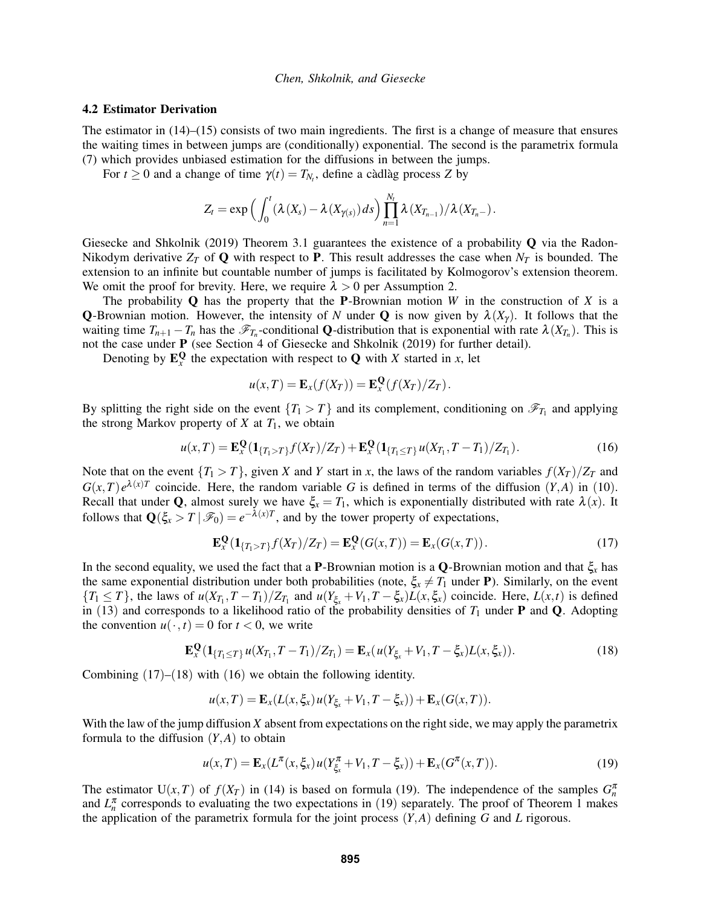#### <span id="page-5-0"></span>4.2 Estimator Derivation

The estimator in [\(14\)](#page-4-1)–[\(15\)](#page-4-2) consists of two main ingredients. The first is a change of measure that ensures the waiting times in between jumps are (conditionally) exponential. The second is the parametrix formula [\(7\)](#page-2-5) which provides unbiased estimation for the diffusions in between the jumps.

For  $t \geq 0$  and a change of time  $\gamma(t) = T_{N_t}$ , define a càdlàg process Z by

$$
Z_t = \exp\left(\int_0^t (\lambda(X_s) - \lambda(X_{\gamma(s)}) ds)\prod_{n=1}^{N_t} \lambda(X_{T_{n-1}})/\lambda(X_{T_n-}).\right)
$$

[Giesecke and Shkolnik \(2019\)](#page-11-9) Theorem 3.1 guarantees the existence of a probability  $\bf{Q}$  via the Radon-Nikodym derivative  $Z_T$  of Q with respect to P. This result addresses the case when  $N_T$  is bounded. The extension to an infinite but countable number of jumps is facilitated by Kolmogorov's extension theorem. We omit the proof for brevity. Here, we require  $\lambda > 0$  per Assumption [2.](#page-2-4)

The probability  $Q$  has the property that the **P**-Brownian motion *W* in the construction of *X* is a **Q**-Brownian motion. However, the intensity of *N* under **Q** is now given by  $\lambda(X_\gamma)$ . It follows that the waiting time  $T_{n+1} - T_n$  has the  $\mathscr{F}_{T_n}$ -conditional **Q**-distribution that is exponential with rate  $\lambda(X_{T_n})$ . This is not the case under P (see Section 4 of [Giesecke and Shkolnik \(2019\)](#page-11-9) for further detail).

Denoting by  $\mathbf{E}_x^{\mathbf{Q}}$  the expectation with respect to **Q** with *X* started in *x*, let

<span id="page-5-3"></span><span id="page-5-1"></span>
$$
u(x,T) = \mathbf{E}_x(f(X_T)) = \mathbf{E}_x^{\mathbf{Q}}(f(X_T)/Z_T).
$$

By splitting the right side on the event  ${T_1 > T}$  and its complement, conditioning on  $\mathscr{F}_{T_1}$  and applying the strong Markov property of  $X$  at  $T_1$ , we obtain

$$
u(x,T) = \mathbf{E}_x^{\mathbf{Q}}(\mathbf{1}_{\{T_1 > T\}}f(X_T)/Z_T) + \mathbf{E}_x^{\mathbf{Q}}(\mathbf{1}_{\{T_1 \le T\}}u(X_{T_1}, T - T_1)/Z_{T_1}).
$$
\n(16)

Note that on the event  ${T_1 > T}$ , given *X* and *Y* start in *x*, the laws of the random variables  $f(X_T)/Z_T$  and  $G(x,T)e^{\lambda(x)T}$  coincide. Here, the random variable *G* is defined in terms of the diffusion  $(Y,A)$  in ([10](#page-3-5)). Recall that under Q, almost surely we have  $\xi_x = T_1$ , which is exponentially distributed with rate  $\lambda(x)$ . It follows that  $\mathbf{Q}(\xi_x > T | \mathcal{F}_0) = e^{-\lambda(x)T}$ , and by the tower property of expectations,

$$
\mathbf{E}_x^{\mathbf{Q}}(\mathbf{1}_{\{T_1>T\}}f(X_T)/Z_T) = \mathbf{E}_x^{\mathbf{Q}}(G(x,T)) = \mathbf{E}_x(G(x,T)).
$$
\n(17)

In the second equality, we used the fact that a **P**-Brownian motion is a **Q**-Brownian motion and that  $\xi_x$  has the same exponential distribution under both probabilities (note,  $\xi_x \neq T_1$  under **P**). Similarly, on the event  $\{T_1 \leq T\}$ , the laws of  $u(X_{T_1}, T - T_1)/Z_{T_1}$  and  $u(Y_{\xi_x} + V_1, T - \xi_x)L(x, \xi_x)$  coincide. Here,  $L(x, t)$  is defined in ([13](#page-4-3)) and corresponds to a likelihood ratio of the probability densities of  $T_1$  under **P** and **Q**. Adopting the convention  $u(\cdot, t) = 0$  for  $t < 0$ , we write

$$
\mathbf{E}_x^{\mathbf{Q}}(\mathbf{1}_{\{T_1 \le T\}} u(X_{T_1}, T - T_1)/Z_{T_1}) = \mathbf{E}_x(u(Y_{\xi_x} + V_1, T - \xi_x)L(x, \xi_x)).
$$
\n(18)

Combining  $(17)$  $(17)$  $(17)$ – $(18)$  $(18)$  $(18)$  with  $(16)$  $(16)$  $(16)$  we obtain the following identity.

<span id="page-5-2"></span>
$$
u(x,T) = \mathbf{E}_x(L(x,\xi_x)u(Y_{\xi_x}+V_1,T-\xi_x)) + \mathbf{E}_x(G(x,T)).
$$

With the law of the jump diffusion *X* absent from expectations on the right side, we may apply the parametrix formula to the diffusion  $(Y, A)$  to obtain

<span id="page-5-4"></span>
$$
u(x,T) = \mathbf{E}_x(L^{\pi}(x,\xi_x)u(Y_{\xi_x}^{\pi} + V_1, T - \xi_x)) + \mathbf{E}_x(G^{\pi}(x,T)).
$$
\n(19)

The estimator U(*x*,*T*) of  $f(X_T)$  in [\(14\)](#page-4-1) is based on formula [\(19\)](#page-5-4). The independence of the samples  $G_n^{\pi}$ and  $L_n^{\pi}$  corresponds to evaluating the two expectations in ([19](#page-5-4)) separately. The proof of Theorem [1](#page-4-4) makes the application of the parametrix formula for the joint process (*Y*,*A*) defining *G* and *L* rigorous.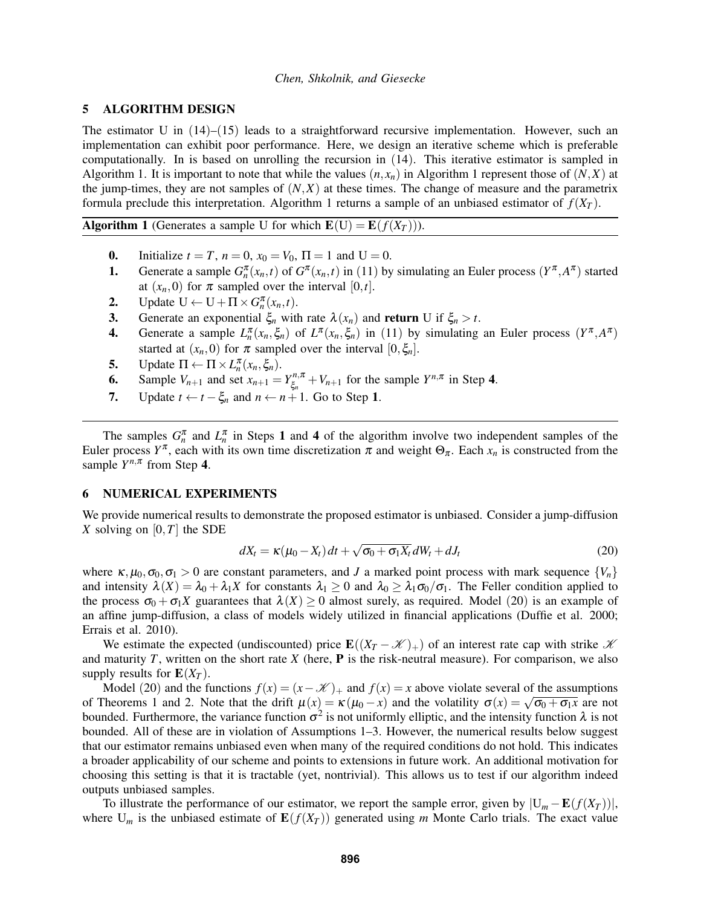### <span id="page-6-0"></span>5 ALGORITHM DESIGN

The estimator U in  $(14)$  $(14)$  $(14)$ – $(15)$  $(15)$  $(15)$  leads to a straightforward recursive implementation. However, such an implementation can exhibit poor performance. Here, we design an iterative scheme which is preferable computationally. In is based on unrolling the recursion in ([14](#page-4-1)). This iterative estimator is sampled in Algorithm [1.](#page-6-2) It is important to note that while the values  $(n, x_n)$  in Algorithm [1](#page-6-2) represent those of  $(N, X)$  at the jump-times, they are not samples of  $(N, X)$  at these times. The change of measure and the parametrix formula preclude this interpretation. Algorithm [1](#page-6-2) returns a sample of an unbiased estimator of  $f(X_T)$ .

Algorithm 1 (Generates a sample U for which  $E(U) = E(f(X_T))$ ).

- 0. Initialize  $t = T$ ,  $n = 0$ ,  $x_0 = V_0$ ,  $\Pi = 1$  and  $U = 0$ .
- **1.** Generate a sample  $G_n^{\pi}(x_n,t)$  of  $G^{\pi}(x_n,t)$  in ([11](#page-3-4)) by simulating an Euler process  $(Y^{\pi}, A^{\pi})$  started at  $(x_n, 0)$  for  $\pi$  sampled over the interval  $[0, t]$ .
- 2. Update  $U \leftarrow U + \Pi \times G_n^{\pi}(x_n, t)$ .
- 3. Generate an exponential  $\xi_n$  with rate  $\lambda(x_n)$  and return U if  $\xi_n > t$ .
- **4.** Generate a sample  $L_n^{\pi}(x_n, \xi_n)$  of  $L^{\pi}(x_n, \xi_n)$  in ([11](#page-3-4)) by simulating an Euler process  $(Y^{\pi}, A^{\pi})$ started at  $(x_n, 0)$  for  $\pi$  sampled over the interval  $[0, \xi_n]$ .
- 5. Update  $\Pi \leftarrow \Pi \times L_n^{\pi}(x_n, \xi_n)$ .
- 6. Sample  $V_{n+1}$  and set  $x_{n+1} = Y_{\xi_n}^{n,\pi}$  $\zeta_n^{n,\pi} + V_{n+1}$  for the sample  $Y^{n,\pi}$  in Step 4.
- 7. Update  $t \leftarrow t \xi_n$  and  $n \leftarrow n+1$ . Go to Step 1.

<span id="page-6-2"></span>The samples  $G_n^{\pi}$  and  $L_n^{\pi}$  in Steps 1 and 4 of the algorithm involve two independent samples of the Euler process  $Y^{\pi}$ , each with its own time discretization  $\pi$  and weight  $\Theta_{\pi}$ . Each  $x_n$  is constructed from the sample  $Y^{n,\pi}$  from Step 4.

### <span id="page-6-1"></span>6 NUMERICAL EXPERIMENTS

We provide numerical results to demonstrate the proposed estimator is unbiased. Consider a jump-diffusion *X* solving on  $[0, T]$  the SDE

<span id="page-6-3"></span>
$$
dX_t = \kappa (\mu_0 - X_t) dt + \sqrt{\sigma_0 + \sigma_1 X_t} dW_t + dJ_t
$$
\n(20)

where  $\kappa, \mu_0, \sigma_0, \sigma_1 > 0$  are constant parameters, and *J* a marked point process with mark sequence  $\{V_n\}$ and intensity  $\lambda(X) = \lambda_0 + \lambda_1 X$  for constants  $\lambda_1 \ge 0$  and  $\lambda_0 \ge \lambda_1 \sigma_0 / \sigma_1$ . The Feller condition applied to the process  $\sigma_0 + \sigma_1 X$  guarantees that  $\lambda(X) \ge 0$  almost surely, as required. Model ([20](#page-6-3)) is an example of an affine jump-diffusion, a class of models widely utilized in financial applications [\(Duffie et al. 2000;](#page-11-10) [Errais et al. 2010\)](#page-11-11).

We estimate the expected (undiscounted) price  $\mathbf{E}((X_T - \mathcal{K})_+)$  of an interest rate cap with strike  $\mathcal K$ and maturity  $T$ , written on the short rate  $X$  (here,  $P$  is the risk-neutral measure). For comparison, we also supply results for  $E(X_T)$ .

Model ([20](#page-6-3)) and the functions  $f(x) = (x - K)_+$  and  $f(x) = x$  above violate several of the assumptions Model (20) and the functions  $f(x) = (x - \mathcal{X})_+$  and  $f(x) = x$  above violate several of the assumptions of Theorems [1](#page-4-4) and [2.](#page-4-5) Note that the drift  $\mu(x) = \kappa (\mu_0 - x)$  and the volatility  $\sigma(x) = \sqrt{\sigma_0 + \sigma_1 x}$  are not bounded. Furthermore, the variance function  $\sigma^2$  is not uniformly elliptic, and the intensity function  $\lambda$  is not bounded. All of these are in violation of Assumptions [1](#page-2-3)[–3.](#page-2-7) However, the numerical results below suggest that our estimator remains unbiased even when many of the required conditions do not hold. This indicates a broader applicability of our scheme and points to extensions in future work. An additional motivation for choosing this setting is that it is tractable (yet, nontrivial). This allows us to test if our algorithm indeed outputs unbiased samples.

To illustrate the performance of our estimator, we report the sample error, given by  $|U_m - E(f(X_T))|$ , where  $U_m$  is the unbiased estimate of  $E(f(X_T))$  generated using *m* Monte Carlo trials. The exact value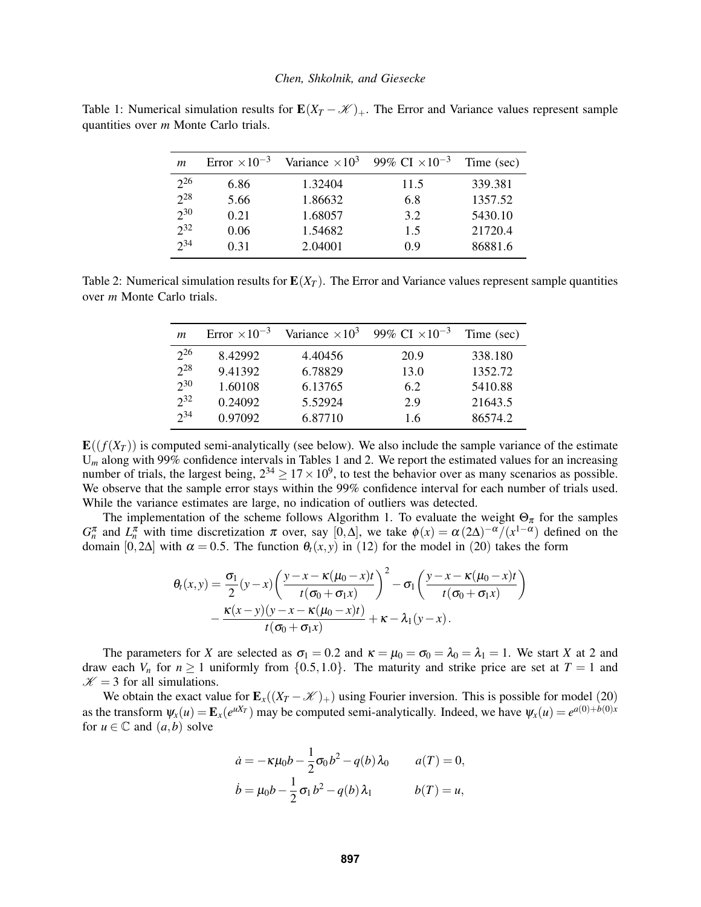<span id="page-7-0"></span>Table 1: Numerical simulation results for  $E(X_T - \mathcal{K})_+$ . The Error and Variance values represent sample quantities over *m* Monte Carlo trials.

| m        | Error $\times 10^{-3}$ | Variance $\times 10^3$ | 99% CI $\times 10^{-3}$ | Time (sec) |
|----------|------------------------|------------------------|-------------------------|------------|
| $2^{26}$ | 6.86                   | 1.32404                | 11.5                    | 339.381    |
| $2^{28}$ | 5.66                   | 1.86632                | 6.8                     | 1357.52    |
| $2^{30}$ | 0.21                   | 1.68057                | 3.2                     | 5430.10    |
| $2^{32}$ | 0.06                   | 1.54682                | 1.5                     | 21720.4    |
| $2^{34}$ | 0.31                   | 2.04001                | 09                      | 86881.6    |

<span id="page-7-1"></span>Table 2: Numerical simulation results for  $E(X_T)$ . The Error and Variance values represent sample quantities over *m* Monte Carlo trials.

| $\mathfrak{m}$ | Error $\times 10^{-3}$ | Variance $\times 10^3$ | 99% CI $\times 10^{-3}$ | Time (sec) |
|----------------|------------------------|------------------------|-------------------------|------------|
| $2^{26}$       | 8.42992                | 4.40456                | 20.9                    | 338.180    |
| $2^{28}$       | 9.41392                | 6.78829                | 13.0                    | 1352.72    |
| $2^{30}$       | 1.60108                | 6.13765                | 6.2                     | 5410.88    |
| $2^{32}$       | 0.24092                | 5.52924                | 2.9                     | 21643.5    |
| $2^{34}$       | 0.97092                | 6.87710                | 1.6                     | 86574.2    |

 $\mathbf{E}((f(X_T))$  is computed semi-analytically (see below). We also include the sample variance of the estimate U<sub>m</sub> along with 99% confidence intervals in Tables [1](#page-7-0) and [2.](#page-7-1) We report the estimated values for an increasing number of trials, the largest being,  $2^{34} \ge 17 \times 10^9$ , to test the behavior over as many scenarios as possible. We observe that the sample error stays within the 99% confidence interval for each number of trials used. While the variance estimates are large, no indication of outliers was detected.

The implementation of the scheme follows Algorithm [1.](#page-6-2) To evaluate the weight  $\Theta_{\pi}$  for the samples  $G_n^{\pi}$  and  $L_n^{\pi}$  with time discretization  $\pi$  over, say [0, $\Delta$ ], we take  $\phi(x) = \alpha (2\Delta)^{-\alpha}/(x^{1-\alpha})$  defined on the domain [0,2 $\Delta$ ] with  $\alpha = 0.5$ . The function  $\theta_t(x, y)$  in ([12](#page-4-6)) for the model in ([20](#page-6-3)) takes the form

$$
\theta_t(x,y) = \frac{\sigma_1}{2}(y-x)\left(\frac{y-x-\kappa(\mu_0-x)t}{t(\sigma_0+\sigma_1x)}\right)^2 - \sigma_1\left(\frac{y-x-\kappa(\mu_0-x)t}{t(\sigma_0+\sigma_1x)}\right) - \frac{\kappa(x-y)(y-x-\kappa(\mu_0-x)t)}{t(\sigma_0+\sigma_1x)} + \kappa - \lambda_1(y-x).
$$

The parameters for *X* are selected as  $\sigma_1 = 0.2$  and  $\kappa = \mu_0 = \sigma_0 = \lambda_0 = \lambda_1 = 1$ . We start *X* at 2 and draw each  $V_n$  for  $n \ge 1$  uniformly from  $\{0.5, 1.0\}$ . The maturity and strike price are set at  $T = 1$  and  $K = 3$  for all simulations.

We obtain the exact value for  $\mathbf{E}_x((X_T - \mathcal{K})_+)$  using Fourier inversion. This is possible for model ([20](#page-6-3)) as the transform  $\psi_x(u) = \mathbf{E}_x(e^{uX_T})$  may be computed semi-analytically. Indeed, we have  $\psi_x(u) = e^{a(0) + b(0)x}$ for  $u \in \mathbb{C}$  and  $(a, b)$  solve

$$
\dot{a} = -\kappa \mu_0 b - \frac{1}{2} \sigma_0 b^2 - q(b) \lambda_0 \qquad a(T) = 0,
$$
  

$$
\dot{b} = \mu_0 b - \frac{1}{2} \sigma_1 b^2 - q(b) \lambda_1 \qquad b(T) = u,
$$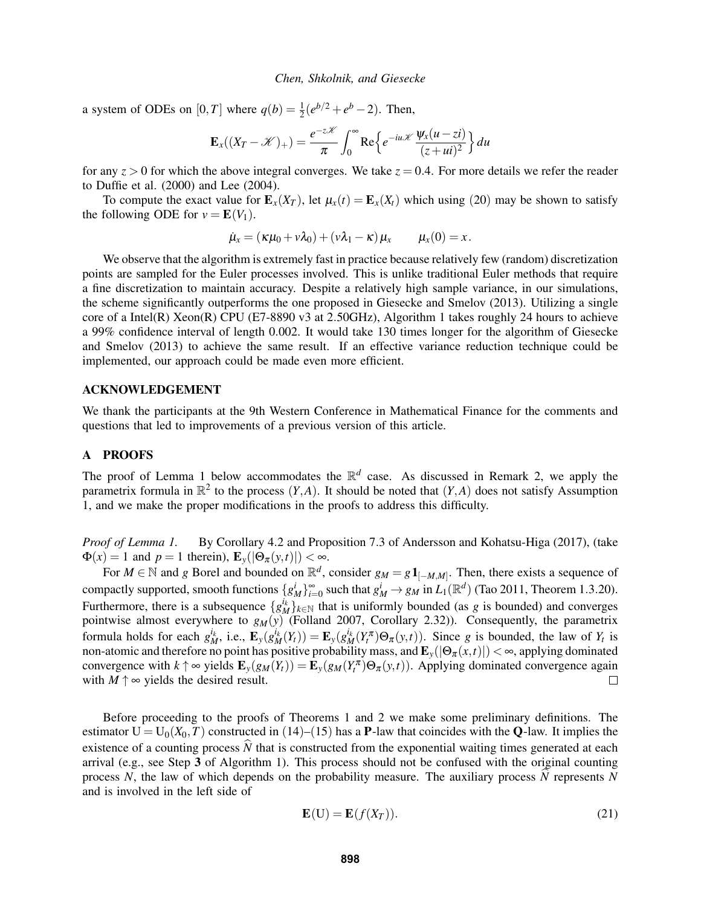a system of ODEs on  $[0, T]$  where  $q(b) = \frac{1}{2}(e^{b/2} + e^b - 2)$ . Then,

$$
\mathbf{E}_x((X_T - \mathcal{K})_+) = \frac{e^{-z\mathcal{K}}}{\pi} \int_0^\infty \text{Re}\Big\{ e^{-iu\mathcal{K}} \frac{\Psi_x(u-zi)}{(z+ui)^2} \Big\} du
$$

for any  $z > 0$  for which the above integral converges. We take  $z = 0.4$ . For more details we refer the reader to [Duffie et al. \(2000\)](#page-11-10) and [Lee \(2004\).](#page-11-12)

To compute the exact value for  $\mathbf{E}_x(X_T)$ , let  $\mu_x(t) = \mathbf{E}_x(X_t)$  which using ([20](#page-6-3)) may be shown to satisfy the following ODE for  $v = E(V_1)$ .

$$
\dot{\mu}_x = (\kappa \mu_0 + \nu \lambda_0) + (\nu \lambda_1 - \kappa) \mu_x \qquad \mu_x(0) = x.
$$

We observe that the algorithm is extremely fast in practice because relatively few (random) discretization points are sampled for the Euler processes involved. This is unlike traditional Euler methods that require a fine discretization to maintain accuracy. Despite a relatively high sample variance, in our simulations, the scheme significantly outperforms the one proposed in [Giesecke and Smelov \(2013\).](#page-11-3) Utilizing a single core of a Intel(R) Xeon(R) CPU (E7-8890 v3 at 2.50GHz), Algorithm [1](#page-6-2) takes roughly 24 hours to achieve a 99% confidence interval of length 0.002. It would take 130 times longer for the algorithm of [Giesecke](#page-11-3) [and Smelov \(2013\)](#page-11-3) to achieve the same result. If an effective variance reduction technique could be implemented, our approach could be made even more efficient.

### ACKNOWLEDGEMENT

We thank the participants at the 9th Western Conference in Mathematical Finance for the comments and questions that led to improvements of a previous version of this article.

### <span id="page-8-0"></span>A PROOFS

The proof of Lemma [1](#page-3-2) below accommodates the  $\mathbb{R}^d$  case. As discussed in Remark [2,](#page-4-0) we apply the parametrix formula in  $\mathbb{R}^2$  to the process  $(Y, A)$ . It should be noted that  $(Y, A)$  does not satisfy Assumption [1,](#page-2-3) and we make the proper modifications in the proofs to address this difficulty.

*Proof of Lemma [1.](#page-3-2)* By Corollary 4.2 and Proposition 7.3 of [Andersson and Kohatsu-Higa \(2017\),](#page-10-4) (take  $\Phi(x) = 1$  and  $p = 1$  therein),  $\mathbf{E}_y(|\Theta_{\pi}(y,t)|) < \infty$ .

For  $M \in \mathbb{N}$  and *g* Borel and bounded on  $\mathbb{R}^d$ , consider  $g_M = g \mathbf{1}_{[-M,M]}$ . Then, there exists a sequence of compactly supported, smooth functions  $\{g_M^i\}_{i=0}^{\infty}$  such that  $g_M^i \to g_M$  in  $L_1(\mathbb{R}^d)$  [\(Tao 2011,](#page-11-13) Theorem 1.3.20). Furthermore, there is a subsequence  $\{g_M^{i_k}\}_{k\in\mathbb{N}}$  that is uniformly bounded (as *g* is bounded) and converges pointwise almost everywhere to *gM*(*y*) [\(Folland 2007,](#page-11-14) Corollary 2.32)). Consequently, the parametrix formula holds for each  $g_M^{i_k}$ , i.e.,  $\mathbf{E}_y(g_M^{i_k}(Y_t)) = \mathbf{E}_y(g_M^{i_k}(Y_t^{\pi})\Theta_{\pi}(y,t))$ . Since g is bounded, the law of  $Y_t$  is non-atomic and therefore no point has positive probability mass, and  $\mathbf{E}_y(|\Theta_\pi(x,t)|)<\infty,$  applying dominated convergence with  $k \uparrow \infty$  yields  $\mathbf{E}_y(g_M(Y_t)) = \mathbf{E}_y(g_M(Y_t^{\pi}) \Theta_{\pi}(y,t))$ . Applying dominated convergence again with  $M \uparrow \infty$  yields the desired result.  $\Box$ 

Before proceeding to the proofs of Theorems [1](#page-4-4) and [2](#page-4-5) we make some preliminary definitions. The estimator  $U = U_0(X_0, T)$  constructed in ([14](#page-4-1))–([15](#page-4-2)) has a **P**-law that coincides with the **Q**-law. It implies the existence of a counting process  $\hat{N}$  that is constructed from the exponential waiting times generated at each arrival (e.g., see Step 3 of Algorithm [1\)](#page-6-2). This process should not be confused with the original counting process *N*, the law of which depends on the probability measure. The auxiliary process  $\hat{N}$  represents *N* and is involved in the left side of

<span id="page-8-1"></span>
$$
\mathbf{E}(\mathbf{U}) = \mathbf{E}(f(X_T)).
$$
\n(21)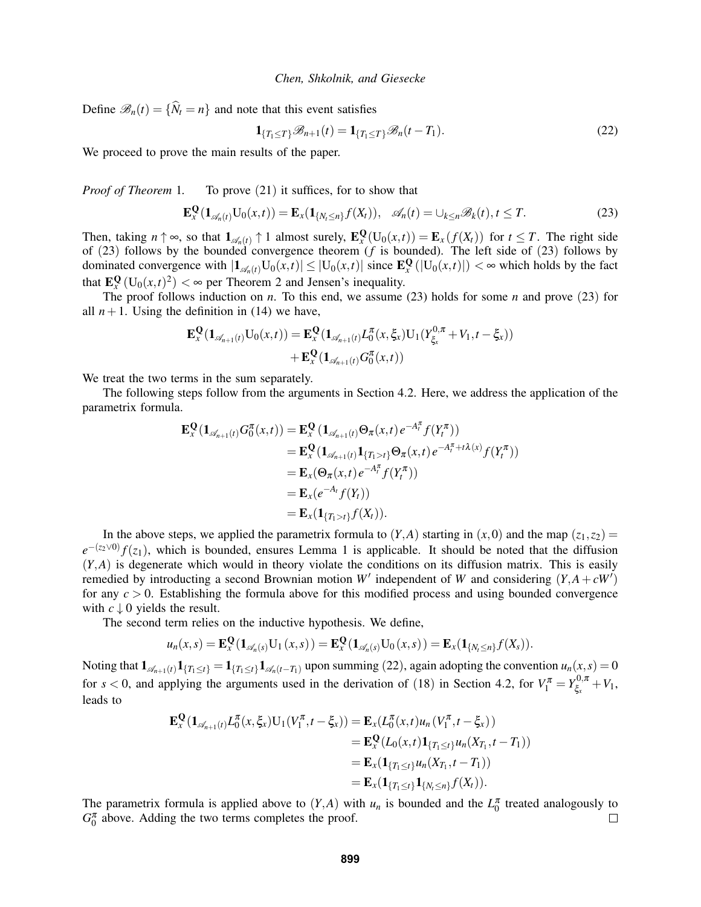Define  $\mathcal{B}_n(t) = \{\hat{N}_t = n\}$  and note that this event satisfies

<span id="page-9-1"></span><span id="page-9-0"></span>
$$
\mathbf{1}_{\{T_1 \le T\}} \mathcal{B}_{n+1}(t) = \mathbf{1}_{\{T_1 \le T\}} \mathcal{B}_n(t - T_1). \tag{22}
$$

We proceed to prove the main results of the paper.

*Proof of Theorem* [1](#page-4-4). To prove ([21](#page-8-1)) it suffices, for to show that

$$
\mathbf{E}_x^{\mathbf{Q}}(\mathbf{1}_{\mathscr{A}_n(t)}\mathbf{U}_0(x,t)) = \mathbf{E}_x(\mathbf{1}_{\{N_t \leq n\}}f(X_t)), \quad \mathscr{A}_n(t) = \cup_{k \leq n} \mathscr{B}_k(t), t \leq T. \tag{23}
$$

Then, taking  $n \uparrow \infty$ , so that  $\mathbf{1}_{\mathscr{A}_n(t)} \uparrow 1$  almost surely,  $\mathbf{E}_x^{\mathbf{Q}}(\mathbf{U}_0(x,t)) = \mathbf{E}_x(f(X_t))$  for  $t \leq T$ . The right side of ([23](#page-9-0)) follows by the bounded convergence theorem (*f* is bounded). The left side of ([23](#page-9-0)) follows by dominated convergence with  $|\mathbf{1}_{\mathscr{A}_n(t)}U_0(x,t)| \leq |U_0(x,t)|$  since  $\mathbf{E}_x^{\mathbf{Q}}(|U_0(x,t)|) < \infty$  which holds by the fact that  $\mathbf{E}_x^{\mathbf{Q}}(U_0(x,t)^2) < \infty$  $\mathbf{E}_x^{\mathbf{Q}}(U_0(x,t)^2) < \infty$  $\mathbf{E}_x^{\mathbf{Q}}(U_0(x,t)^2) < \infty$  per Theorem 2 and Jensen's inequality.

The proof follows induction on *n*. To this end, we assume [\(23\)](#page-9-0) holds for some *n* and prove ([23](#page-9-0)) for all  $n+1$ . Using the definition in [\(14\)](#page-4-1) we have,

$$
\mathbf{E}_{x}^{\mathbf{Q}}(\mathbf{1}_{\mathscr{A}_{n+1}(t)}\mathbf{U}_{0}(x,t)) = \mathbf{E}_{x}^{\mathbf{Q}}(\mathbf{1}_{\mathscr{A}_{n+1}(t)}L_{0}^{\pi}(x,\xi_{x})\mathbf{U}_{1}(Y_{\xi_{x}}^{0,\pi}+V_{1},t-\xi_{x})) + \mathbf{E}_{x}^{\mathbf{Q}}(\mathbf{1}_{\mathscr{A}_{n+1}(t)}G_{0}^{\pi}(x,t))
$$

We treat the two terms in the sum separately.

The following steps follow from the arguments in Section 4.[2.](#page-5-0) Here, we address the application of the parametrix formula.

$$
\mathbf{E}_{x}^{\mathbf{Q}}(\mathbf{1}_{\mathscr{A}_{n+1}(t)}G_{0}^{\pi}(x,t)) = \mathbf{E}_{x}^{\mathbf{Q}}(\mathbf{1}_{\mathscr{A}_{n+1}(t)}\Theta_{\pi}(x,t) e^{-A_{t}^{\pi}}f(Y_{t}^{\pi}))
$$
  
\n
$$
= \mathbf{E}_{x}^{\mathbf{Q}}(\mathbf{1}_{\mathscr{A}_{n+1}(t)}\mathbf{1}_{\{T_{1}>t\}}\Theta_{\pi}(x,t) e^{-A_{t}^{\pi}+t\lambda(x)}f(Y_{t}^{\pi}))
$$
  
\n
$$
= \mathbf{E}_{x}(\Theta_{\pi}(x,t) e^{-A_{t}^{\pi}}f(Y_{t}^{\pi}))
$$
  
\n
$$
= \mathbf{E}_{x}(e^{-A_{t}}f(Y_{t}))
$$
  
\n
$$
= \mathbf{E}_{x}(\mathbf{1}_{\{T_{1}>t\}}f(X_{t})).
$$

In the above steps, we applied the parametrix formula to  $(Y, A)$  starting in  $(x, 0)$  and the map  $(z_1, z_2)$  =  $e^{-(z_2 \vee 0)} f(z_1)$  $e^{-(z_2 \vee 0)} f(z_1)$  $e^{-(z_2 \vee 0)} f(z_1)$ , which is bounded, ensures Lemma 1 is applicable. It should be noted that the diffusion  $(Y, A)$  is degenerate which would in theory violate the conditions on its diffusion matrix. This is easily remedied by introducting a second Brownian motion *W*<sup> $\prime$ </sup> independent of *W* and considering  $(Y, A + cW)$ for any *c* > 0. Establishing the formula above for this modified process and using bounded convergence with  $c \downarrow 0$  yields the result.

The second term relies on the inductive hypothesis. We define,

$$
u_n(x,s) = \mathbf{E}_x^{\mathbf{Q}}(\mathbf{1}_{\mathscr{A}_n(s)}U_1(x,s)) = \mathbf{E}_x^{\mathbf{Q}}(\mathbf{1}_{\mathscr{A}_n(s)}U_0(x,s)) = \mathbf{E}_x(\mathbf{1}_{\{N_t \leq n\}}f(X_s)).
$$

Noting that  $\mathbf{1}_{\mathscr{A}_{n+1}(t)}\mathbf{1}_{\{T_1\leq t\}} = \mathbf{1}_{\{T_1\leq t\}}\mathbf{1}_{\mathscr{A}_{n}(t-T_1)}$  upon summing ([22](#page-9-1)), again adopting the convention  $u_n(x,s) = 0$ for  $s < 0$ , and applying the arguments used in the derivation of ([18](#page-5-2)) in Section 4.[2,](#page-5-0) for  $V_1^{\pi} = Y_{\xi_x}^{0,\pi}$  $\xi_x^{0,\pi} + V_1,$ leads to

$$
\mathbf{E}_{x}^{\mathbf{Q}}(\mathbf{1}_{\mathscr{A}_{n+1}(t)}L_{0}^{\pi}(x,\xi_{x})\mathbf{U}_{1}(V_{1}^{\pi},t-\xi_{x}))=\mathbf{E}_{x}(L_{0}^{\pi}(x,t)u_{n}(V_{1}^{\pi},t-\xi_{x}))
$$
\n
$$
=\mathbf{E}_{x}^{\mathbf{Q}}(L_{0}(x,t)\mathbf{1}_{\{T_{1}\leq t\}}u_{n}(X_{T_{1}},t-T_{1}))
$$
\n
$$
=\mathbf{E}_{x}(\mathbf{1}_{\{T_{1}\leq t\}}u_{n}(X_{T_{1}},t-T_{1}))
$$
\n
$$
=\mathbf{E}_{x}(\mathbf{1}_{\{T_{1}\leq t\}}\mathbf{1}_{\{N_{t}\leq n\}}f(X_{t})).
$$

The parametrix formula is applied above to  $(Y, A)$  with  $u_n$  is bounded and the  $L_0^{\pi}$  treated analogously to  $G_0^{\pi}$  above. Adding the two terms completes the proof.  $\Box$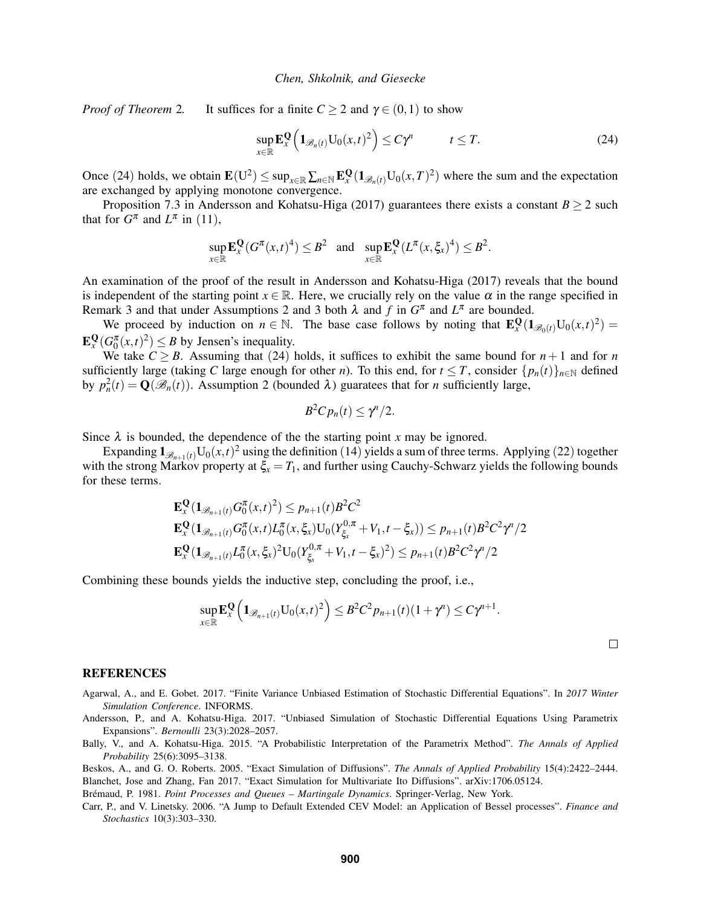*Proof of Theorem* [2](#page-4-5). It suffices for a finite  $C \ge 2$  and  $\gamma \in (0,1)$  to show

<span id="page-10-7"></span>
$$
\sup_{x \in \mathbb{R}} \mathbf{E}_x^{\mathbf{Q}} \left( \mathbf{1}_{\mathscr{B}_n(t)} \mathbf{U}_0(x, t)^2 \right) \le C \gamma^n \qquad t \le T. \tag{24}
$$

Once ([24](#page-10-7)) holds, we obtain  $\mathbf{E}(U^2) \le \sup_{x \in \mathbb{R}} \sum_{n \in \mathbb{N}} \mathbf{E}_x^{\mathbf{Q}}(\mathbf{1}_{\mathscr{B}_n(t)} U_0(x,T)^2)$  where the sum and the expectation are exchanged by applying monotone convergence.

Proposition 7.3 in [Andersson and Kohatsu-Higa \(2017\)](#page-10-4) guarantees there exists a constant  $B \ge 2$  such that for  $G^{\pi}$  and  $L^{\pi}$  in ([11](#page-3-4)),

$$
\sup_{x \in \mathbb{R}} \mathbf{E}_x^{\mathbf{Q}}(G^{\pi}(x,t)^4) \le B^2 \quad \text{and} \quad \sup_{x \in \mathbb{R}} \mathbf{E}_x^{\mathbf{Q}}(L^{\pi}(x,\xi_x)^4) \le B^2.
$$

An examination of the proof of the result in [Andersson and Kohatsu-Higa \(2017\)](#page-10-4) reveals that the bound is independent of the starting point  $x \in \mathbb{R}$ . Here, we crucially rely on the value  $\alpha$  in the range specified in Remark [3](#page-2-7) and that under Assumptions [2](#page-2-4) and 3 both  $\lambda$  and  $f$  in  $G^{\pi}$  and  $L^{\pi}$  are bounded.

We proceed by induction on  $n \in \mathbb{N}$ . The base case follows by noting that  $\mathbf{E}_x^{\mathbf{Q}}(\mathbf{1}_{\mathscr{B}_0(t)}\mathbf{U}_0(x,t)^2)$  $\mathbf{E}_x^{\mathbf{Q}}(G_0^{\pi}(x,t)^2) \leq B$  by Jensen's inequality.

We take  $C \geq B$ . Assuming that ([24](#page-10-7)) holds, it suffices to exhibit the same bound for  $n+1$  and for *n* sufficiently large (taking *C* large enough for other *n*). To this end, for  $t \leq T$ , consider  $\{p_n(t)\}_{n \in \mathbb{N}}$  defined by  $p_n^2(t) = \mathbf{Q}(\mathcal{B}_n(t))$  $p_n^2(t) = \mathbf{Q}(\mathcal{B}_n(t))$  $p_n^2(t) = \mathbf{Q}(\mathcal{B}_n(t))$ . Assumption 2 (bounded  $\lambda$ ) guaratees that for *n* sufficiently large,

$$
B^2Cp_n(t)\leq \gamma^n/2.
$$

Since  $\lambda$  is bounded, the dependence of the the starting point *x* may be ignored.

Expanding  $\mathbf{1}_{\mathscr{B}_{n+1}(t)}U_0(x,t)^2$  using the definition ([14](#page-4-1)) yields a sum of three terms. Applying ([22](#page-9-1)) together with the strong Markov property at  $\xi_x = T_1$ , and further using Cauchy-Schwarz yields the following bounds for these terms.

$$
\mathbf{E}_{x}^{\mathbf{Q}}(\mathbf{1}_{\mathscr{B}_{n+1}(t)}G_{0}^{\pi}(x,t)^{2}) \leq p_{n+1}(t)B^{2}C^{2}
$$
\n
$$
\mathbf{E}_{x}^{\mathbf{Q}}(\mathbf{1}_{\mathscr{B}_{n+1}(t)}G_{0}^{\pi}(x,t)L_{0}^{\pi}(x,\xi_{x})\mathbf{U}_{0}(Y_{\xi_{x}}^{0,\pi}+V_{1},t-\xi_{x})) \leq p_{n+1}(t)B^{2}C^{2}\gamma^{n}/2
$$
\n
$$
\mathbf{E}_{x}^{\mathbf{Q}}(\mathbf{1}_{\mathscr{B}_{n+1}(t)}L_{0}^{\pi}(x,\xi_{x})^{2}\mathbf{U}_{0}(Y_{\xi_{x}}^{0,\pi}+V_{1},t-\xi_{x})^{2}) \leq p_{n+1}(t)B^{2}C^{2}\gamma^{n}/2
$$

Combining these bounds yields the inductive step, concluding the proof, i.e.,

$$
\sup_{x\in\mathbb{R}}\mathbf{E}_x^{\mathbf{Q}}\left(\mathbf{1}_{\mathscr{B}_{n+1}(t)}\mathbf{U}_0(x,t)^2\right)\leq B^2C^2p_{n+1}(t)(1+\gamma^n)\leq C\gamma^{n+1}.
$$

 $\Box$ 

#### REFERENCES

- <span id="page-10-3"></span>Agarwal, A., and E. Gobet. 2017. "Finite Variance Unbiased Estimation of Stochastic Differential Equations". In *2017 Winter Simulation Conference*. INFORMS.
- <span id="page-10-4"></span>Andersson, P., and A. Kohatsu-Higa. 2017. "Unbiased Simulation of Stochastic Differential Equations Using Parametrix Expansions". *Bernoulli* 23(3):2028–2057.
- <span id="page-10-2"></span>Bally, V., and A. Kohatsu-Higa. 2015. "A Probabilistic Interpretation of the Parametrix Method". *The Annals of Applied Probability* 25(6):3095–3138.

<span id="page-10-1"></span><span id="page-10-0"></span>Beskos, A., and G. O. Roberts. 2005. "Exact Simulation of Diffusions". *The Annals of Applied Probability* 15(4):2422–2444. Blanchet, Jose and Zhang, Fan 2017. "Exact Simulation for Multivariate Ito Diffusions". arXiv:1706.05124.

<span id="page-10-5"></span>Brémaud, P. 1981. Point Processes and Queues - Martingale Dynamics. Springer-Verlag, New York.

<span id="page-10-6"></span>Carr, P., and V. Linetsky. 2006. "A Jump to Default Extended CEV Model: an Application of Bessel processes". *Finance and Stochastics* 10(3):303–330.